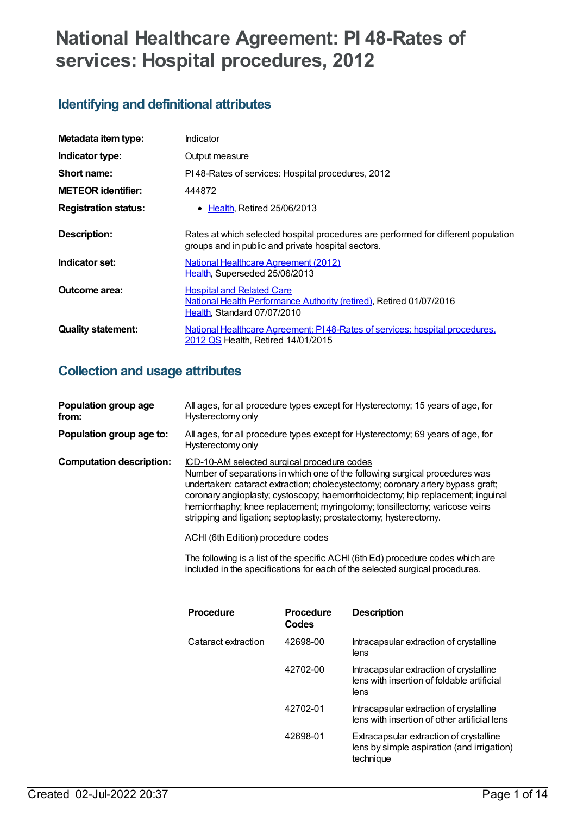# **National Healthcare Agreement: PI 48-Rates of services: Hospital procedures, 2012**

## **Identifying and definitional attributes**

| Metadata item type:         | Indicator                                                                                                                                |
|-----------------------------|------------------------------------------------------------------------------------------------------------------------------------------|
| Indicator type:             | Output measure                                                                                                                           |
| Short name:                 | PI48-Rates of services: Hospital procedures, 2012                                                                                        |
| <b>METEOR identifier:</b>   | 444872                                                                                                                                   |
| <b>Registration status:</b> | <b>Health, Retired 25/06/2013</b><br>$\bullet$                                                                                           |
| <b>Description:</b>         | Rates at which selected hospital procedures are performed for different population<br>groups and in public and private hospital sectors. |
| Indicator set:              | <b>National Healthcare Agreement (2012)</b><br>Health, Superseded 25/06/2013                                                             |
| Outcome area:               | <b>Hospital and Related Care</b><br>National Health Performance Authority (retired), Retired 01/07/2016<br>Health, Standard 07/07/2010   |
| <b>Quality statement:</b>   | National Healthcare Agreement: PI48-Rates of services: hospital procedures.<br>2012 QS Health, Retired 14/01/2015                        |

# **Collection and usage attributes**

|                                 | <b>Procedure</b>                                                                                                        | <b>Procedure</b><br>Codes | <b>Description</b>                                                                                                                                                                                                                                                                                                              |
|---------------------------------|-------------------------------------------------------------------------------------------------------------------------|---------------------------|---------------------------------------------------------------------------------------------------------------------------------------------------------------------------------------------------------------------------------------------------------------------------------------------------------------------------------|
|                                 |                                                                                                                         |                           | The following is a list of the specific ACHI (6th Ed) procedure codes which are<br>included in the specifications for each of the selected surgical procedures.                                                                                                                                                                 |
|                                 | <b>ACHI</b> (6th Edition) procedure codes                                                                               |                           |                                                                                                                                                                                                                                                                                                                                 |
| <b>Computation description:</b> | <u>ICD-10-AM selected surgical procedure codes</u><br>stripping and ligation; septoplasty; prostatectomy; hysterectomy. |                           | Number of separations in which one of the following surgical procedures was<br>undertaken: cataract extraction; cholecystectomy; coronary artery bypass graft;<br>coronary angioplasty; cystoscopy; haemorrhoidectomy; hip replacement; inguinal<br>herniorrhaphy; knee replacement; myringotomy; tonsillectomy; varicose veins |
| Population group age to:        | Hysterectomy only                                                                                                       |                           | All ages, for all procedure types except for Hysterectomy; 69 years of age, for                                                                                                                                                                                                                                                 |
| Population group age<br>from:   | Hysterectomy only                                                                                                       |                           | All ages, for all procedure types except for Hysterectomy; 15 years of age, for                                                                                                                                                                                                                                                 |

| rivucuule           | <u>FIULEUUIE</u><br>Codes | <b>DESCHIPHOLI</b>                                                                                 |
|---------------------|---------------------------|----------------------------------------------------------------------------------------------------|
| Cataract extraction | 42698-00                  | Intracapsular extraction of crystalline<br>lens                                                    |
|                     | 42702-00                  | Intracapsular extraction of crystalline<br>lens with insertion of foldable artificial<br>lens      |
|                     | 42702-01                  | Intracapsular extraction of crystalline<br>lens with insertion of other artificial lens            |
|                     | 42698-01                  | Extracapsular extraction of crystalline<br>lens by simple aspiration (and irrigation)<br>technique |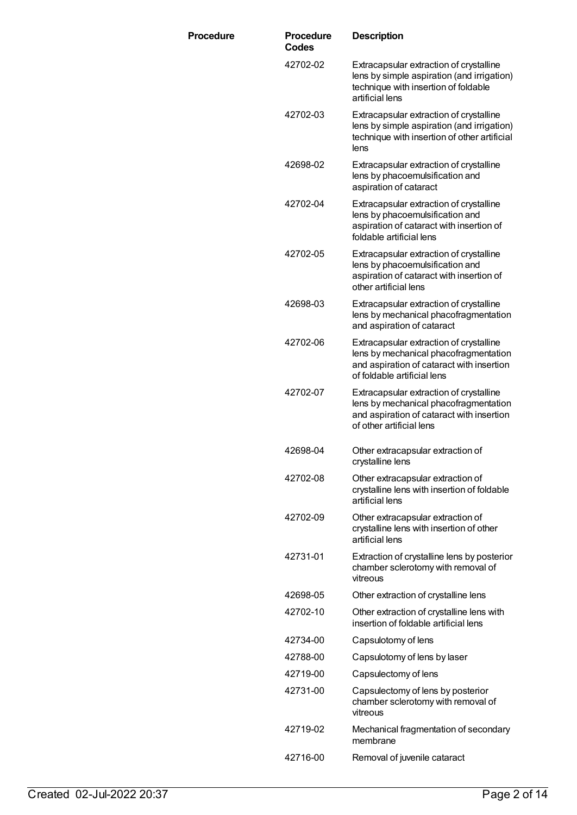| <b>Procedure</b> | <b>Procedure</b><br>Codes | <b>Description</b>                                                                                                                                           |
|------------------|---------------------------|--------------------------------------------------------------------------------------------------------------------------------------------------------------|
|                  | 42702-02                  | Extracapsular extraction of crystalline<br>lens by simple aspiration (and irrigation)<br>technique with insertion of foldable<br>artificial lens             |
|                  | 42702-03                  | Extracapsular extraction of crystalline<br>lens by simple aspiration (and irrigation)<br>technique with insertion of other artificial<br>lens                |
|                  | 42698-02                  | Extracapsular extraction of crystalline<br>lens by phacoemulsification and<br>aspiration of cataract                                                         |
|                  | 42702-04                  | Extracapsular extraction of crystalline<br>lens by phacoemulsification and<br>aspiration of cataract with insertion of<br>foldable artificial lens           |
|                  | 42702-05                  | Extracapsular extraction of crystalline<br>lens by phacoemulsification and<br>aspiration of cataract with insertion of<br>other artificial lens              |
|                  | 42698-03                  | Extracapsular extraction of crystalline<br>lens by mechanical phacofragmentation<br>and aspiration of cataract                                               |
|                  | 42702-06                  | Extracapsular extraction of crystalline<br>lens by mechanical phacofragmentation<br>and aspiration of cataract with insertion<br>of foldable artificial lens |
|                  | 42702-07                  | Extracapsular extraction of crystalline<br>lens by mechanical phacofragmentation<br>and aspiration of cataract with insertion<br>of other artificial lens    |
|                  | 42698-04                  | Other extracapsular extraction of<br>crystalline lens                                                                                                        |
|                  | 42702-08                  | Other extracapsular extraction of<br>crystalline lens with insertion of foldable<br>artificial lens                                                          |
|                  | 42702-09                  | Other extracapsular extraction of<br>crystalline lens with insertion of other<br>artificial lens                                                             |
|                  | 42731-01                  | Extraction of crystalline lens by posterior<br>chamber sclerotomy with removal of<br>vitreous                                                                |
|                  | 42698-05                  | Other extraction of crystalline lens                                                                                                                         |
|                  | 42702-10                  | Other extraction of crystalline lens with<br>insertion of foldable artificial lens                                                                           |
|                  | 42734-00                  | Capsulotomy of lens                                                                                                                                          |
|                  | 42788-00                  | Capsulotomy of lens by laser                                                                                                                                 |
|                  | 42719-00                  | Capsulectomy of lens                                                                                                                                         |
|                  | 42731-00                  | Capsulectomy of lens by posterior<br>chamber sclerotomy with removal of<br>vitreous                                                                          |
|                  | 42719-02                  | Mechanical fragmentation of secondary<br>membrane                                                                                                            |
|                  | 42716-00                  | Removal of juvenile cataract                                                                                                                                 |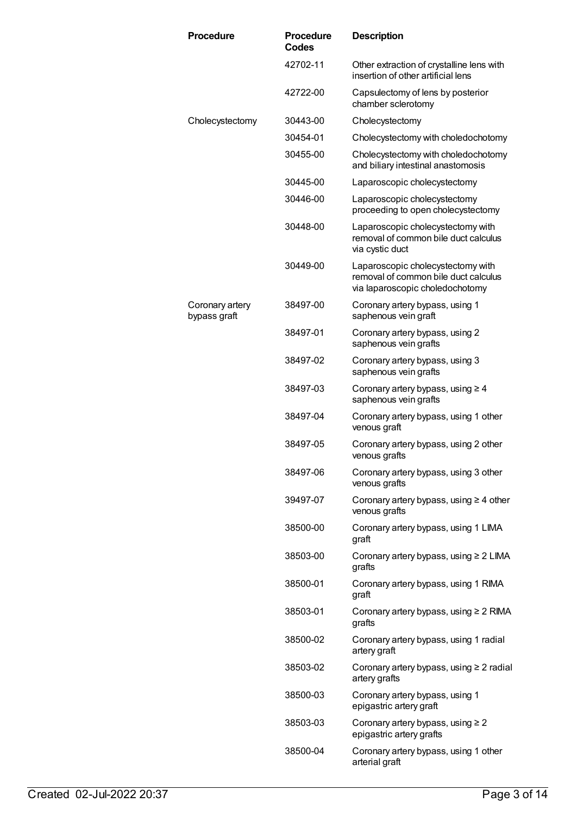| <b>Procedure</b>                | <b>Procedure</b><br><b>Codes</b> | <b>Description</b>                                                                                           |
|---------------------------------|----------------------------------|--------------------------------------------------------------------------------------------------------------|
|                                 | 42702-11                         | Other extraction of crystalline lens with<br>insertion of other artificial lens                              |
|                                 | 42722-00                         | Capsulectomy of lens by posterior<br>chamber sclerotomy                                                      |
| Cholecystectomy                 | 30443-00                         | Cholecystectomy                                                                                              |
|                                 | 30454-01                         | Cholecystectomy with choledochotomy                                                                          |
|                                 | 30455-00                         | Cholecystectomy with choledochotomy<br>and biliary intestinal anastomosis                                    |
|                                 | 30445-00                         | Laparoscopic cholecystectomy                                                                                 |
|                                 | 30446-00                         | Laparoscopic cholecystectomy<br>proceeding to open cholecystectomy                                           |
|                                 | 30448-00                         | Laparoscopic cholecystectomy with<br>removal of common bile duct calculus<br>via cystic duct                 |
|                                 | 30449-00                         | Laparoscopic cholecystectomy with<br>removal of common bile duct calculus<br>via laparoscopic choledochotomy |
| Coronary artery<br>bypass graft | 38497-00                         | Coronary artery bypass, using 1<br>saphenous vein graft                                                      |
|                                 | 38497-01                         | Coronary artery bypass, using 2<br>saphenous vein grafts                                                     |
|                                 | 38497-02                         | Coronary artery bypass, using 3<br>saphenous vein grafts                                                     |
|                                 | 38497-03                         | Coronary artery bypass, using $\geq 4$<br>saphenous vein grafts                                              |
|                                 | 38497-04                         | Coronary artery bypass, using 1 other<br>venous graft                                                        |
|                                 | 38497-05                         | Coronary artery bypass, using 2 other<br>venous grafts                                                       |
|                                 | 38497-06                         | Coronary artery bypass, using 3 other<br>venous grafts                                                       |
|                                 | 39497-07                         | Coronary artery bypass, using $\geq 4$ other<br>venous grafts                                                |
|                                 | 38500-00                         | Coronary artery bypass, using 1 LIMA<br>graft                                                                |
|                                 | 38503-00                         | Coronary artery bypass, using $\geq 2$ LIMA<br>grafts                                                        |
|                                 | 38500-01                         | Coronary artery bypass, using 1 RIMA<br>graft                                                                |
|                                 | 38503-01                         | Coronary artery bypass, using $\geq 2$ RIMA<br>grafts                                                        |
|                                 | 38500-02                         | Coronary artery bypass, using 1 radial<br>artery graft                                                       |
|                                 | 38503-02                         | Coronary artery bypass, using $\geq 2$ radial<br>artery grafts                                               |
|                                 | 38500-03                         | Coronary artery bypass, using 1<br>epigastric artery graft                                                   |
|                                 | 38503-03                         | Coronary artery bypass, using $\geq 2$<br>epigastric artery grafts                                           |
|                                 | 38500-04                         | Coronary artery bypass, using 1 other<br>arterial graft                                                      |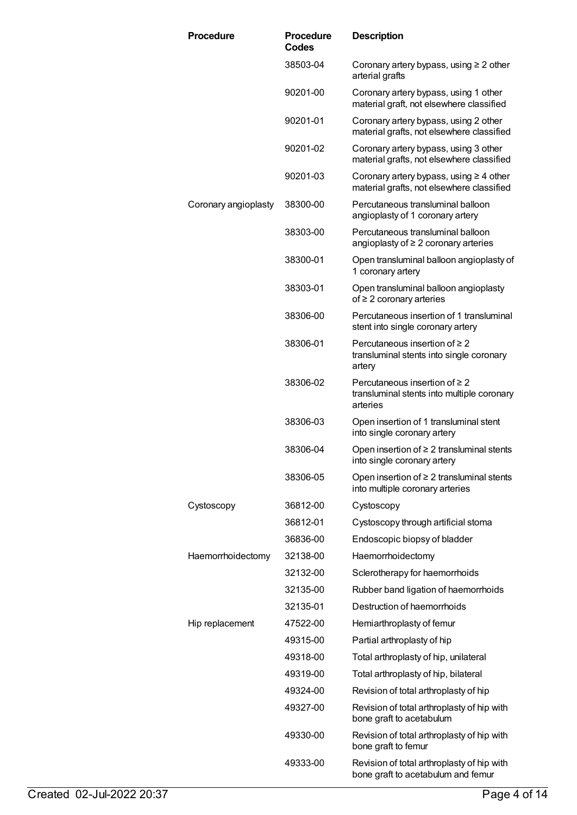| <b>Procedure</b>     | <b>Procedure</b><br>Codes | <b>Description</b>                                                                           |
|----------------------|---------------------------|----------------------------------------------------------------------------------------------|
|                      | 38503-04                  | Coronary artery bypass, using $\geq 2$ other<br>arterial grafts                              |
|                      | 90201-00                  | Coronary artery bypass, using 1 other<br>material graft, not elsewhere classified            |
|                      | 90201-01                  | Coronary artery bypass, using 2 other<br>material grafts, not elsewhere classified           |
|                      | 90201-02                  | Coronary artery bypass, using 3 other<br>material grafts, not elsewhere classified           |
|                      | 90201-03                  | Coronary artery bypass, using $\geq 4$ other<br>material grafts, not elsewhere classified    |
| Coronary angioplasty | 38300-00                  | Percutaneous transluminal balloon<br>angioplasty of 1 coronary artery                        |
|                      | 38303-00                  | Percutaneous transluminal balloon<br>angioplasty of $\geq 2$ coronary arteries               |
|                      | 38300-01                  | Open transluminal balloon angioplasty of<br>1 coronary artery                                |
|                      | 38303-01                  | Open transluminal balloon angioplasty<br>of $\geq 2$ coronary arteries                       |
|                      | 38306-00                  | Percutaneous insertion of 1 transluminal<br>stent into single coronary artery                |
|                      | 38306-01                  | Percutaneous insertion of $\geq 2$<br>transluminal stents into single coronary<br>artery     |
|                      | 38306-02                  | Percutaneous insertion of $\geq 2$<br>transluminal stents into multiple coronary<br>arteries |
|                      | 38306-03                  | Open insertion of 1 transluminal stent<br>into single coronary artery                        |
|                      | 38306-04                  | Open insertion of $\geq 2$ transluminal stents<br>into single coronary artery                |
|                      | 38306-05                  | Open insertion of $\geq 2$ transluminal stents<br>into multiple coronary arteries            |
| Cystoscopy           | 36812-00                  | Cystoscopy                                                                                   |
|                      | 36812-01                  | Cystoscopy through artificial stoma                                                          |
|                      | 36836-00                  | Endoscopic biopsy of bladder                                                                 |
| Haemorrhoidectomy    | 32138-00                  | Haemorrhoidectomy                                                                            |
|                      | 32132-00                  | Sclerotherapy for haemorrhoids                                                               |
|                      | 32135-00                  | Rubber band ligation of haemorrhoids                                                         |
|                      | 32135-01                  | Destruction of haemorrhoids                                                                  |
| Hip replacement      | 47522-00                  | Hemiarthroplasty of femur                                                                    |
|                      | 49315-00                  | Partial arthroplasty of hip                                                                  |
|                      | 49318-00                  | Total arthroplasty of hip, unilateral                                                        |
|                      | 49319-00                  | Total arthroplasty of hip, bilateral                                                         |
|                      | 49324-00                  | Revision of total arthroplasty of hip                                                        |
|                      | 49327-00                  | Revision of total arthroplasty of hip with<br>bone graft to acetabulum                       |
|                      | 49330-00                  | Revision of total arthroplasty of hip with<br>bone graft to femur                            |
|                      | 49333-00                  | Revision of total arthroplasty of hip with<br>bone graft to acetabulum and femur             |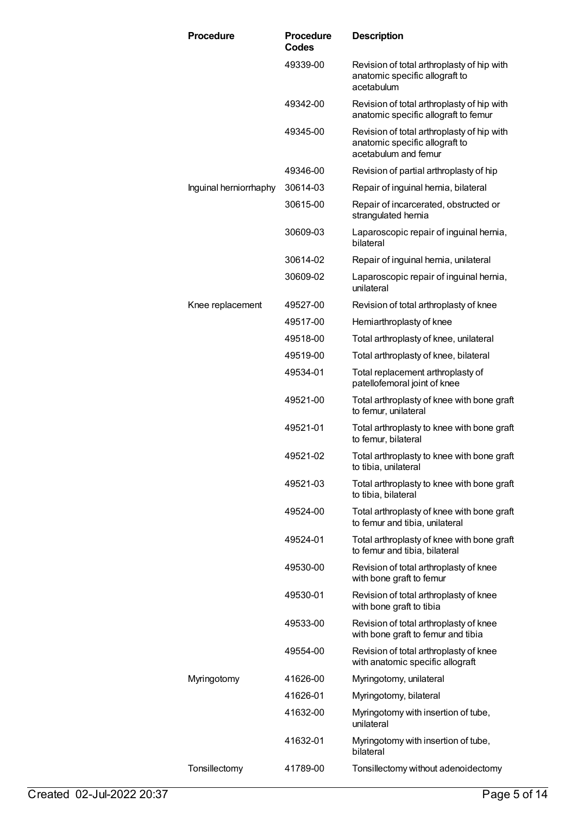| <b>Procedure</b>       | <b>Procedure</b><br>Codes | <b>Description</b>                                                                                   |
|------------------------|---------------------------|------------------------------------------------------------------------------------------------------|
|                        | 49339-00                  | Revision of total arthroplasty of hip with<br>anatomic specific allograft to<br>acetabulum           |
|                        | 49342-00                  | Revision of total arthroplasty of hip with<br>anatomic specific allograft to femur                   |
|                        | 49345-00                  | Revision of total arthroplasty of hip with<br>anatomic specific allograft to<br>acetabulum and femur |
|                        | 49346-00                  | Revision of partial arthroplasty of hip                                                              |
| Inguinal herniorrhaphy | 30614-03                  | Repair of inguinal hernia, bilateral                                                                 |
|                        | 30615-00                  | Repair of incarcerated, obstructed or<br>strangulated hernia                                         |
|                        | 30609-03                  | Laparoscopic repair of inguinal hernia,<br>bilateral                                                 |
|                        | 30614-02                  | Repair of inguinal hernia, unilateral                                                                |
|                        | 30609-02                  | Laparoscopic repair of inguinal hernia,<br>unilateral                                                |
| Knee replacement       | 49527-00                  | Revision of total arthroplasty of knee                                                               |
|                        | 49517-00                  | Hemiarthroplasty of knee                                                                             |
|                        | 49518-00                  | Total arthroplasty of knee, unilateral                                                               |
|                        | 49519-00                  | Total arthroplasty of knee, bilateral                                                                |
|                        | 49534-01                  | Total replacement arthroplasty of<br>patellofemoral joint of knee                                    |
|                        | 49521-00                  | Total arthroplasty of knee with bone graft<br>to femur, unilateral                                   |
|                        | 49521-01                  | Total arthroplasty to knee with bone graft<br>to femur, bilateral                                    |
|                        | 49521-02                  | Total arthroplasty to knee with bone graft<br>to tibia, unilateral                                   |
|                        | 49521-03                  | Total arthroplasty to knee with bone graft<br>to tibia, bilateral                                    |
|                        | 49524-00                  | Total arthroplasty of knee with bone graft<br>to femur and tibia, unilateral                         |
|                        | 49524-01                  | Total arthroplasty of knee with bone graft<br>to femur and tibia, bilateral                          |
|                        | 49530-00                  | Revision of total arthroplasty of knee<br>with bone graft to femur                                   |
|                        | 49530-01                  | Revision of total arthroplasty of knee<br>with bone graft to tibia                                   |
|                        | 49533-00                  | Revision of total arthroplasty of knee<br>with bone graft to femur and tibia                         |
|                        | 49554-00                  | Revision of total arthroplasty of knee<br>with anatomic specific allograft                           |
| Myringotomy            | 41626-00                  | Myringotomy, unilateral                                                                              |
|                        | 41626-01                  | Myringotomy, bilateral                                                                               |
|                        | 41632-00                  | Myringotomy with insertion of tube,<br>unilateral                                                    |
|                        | 41632-01                  | Myringotomy with insertion of tube,<br>bilateral                                                     |
| Tonsillectomy          | 41789-00                  | Tonsillectomy without adenoidectomy                                                                  |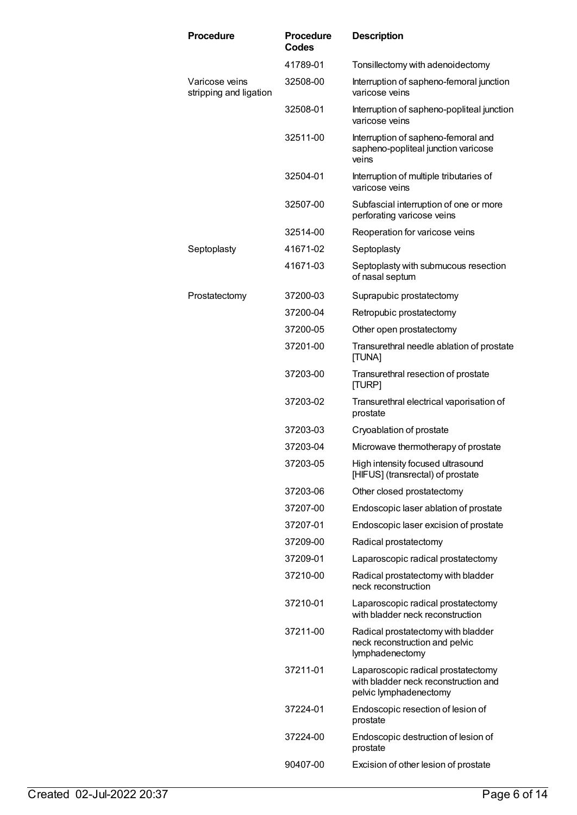| Procedure                                | <b>Procedure</b><br><b>Codes</b> | <b>Description</b>                                                                                   |
|------------------------------------------|----------------------------------|------------------------------------------------------------------------------------------------------|
|                                          | 41789-01                         | Tonsillectomy with adenoidectomy                                                                     |
| Varicose veins<br>stripping and ligation | 32508-00                         | Interruption of sapheno-femoral junction<br>varicose veins                                           |
|                                          | 32508-01                         | Interruption of sapheno-popliteal junction<br>varicose veins                                         |
|                                          | 32511-00                         | Interruption of sapheno-femoral and<br>sapheno-popliteal junction varicose<br>veins                  |
|                                          | 32504-01                         | Interruption of multiple tributaries of<br>varicose veins                                            |
|                                          | 32507-00                         | Subfascial interruption of one or more<br>perforating varicose veins                                 |
|                                          | 32514-00                         | Reoperation for varicose veins                                                                       |
| Septoplasty                              | 41671-02                         | Septoplasty                                                                                          |
|                                          | 41671-03                         | Septoplasty with submucous resection<br>of nasal septum                                              |
| Prostatectomy                            | 37200-03                         | Suprapubic prostatectomy                                                                             |
|                                          | 37200-04                         | Retropubic prostatectomy                                                                             |
|                                          | 37200-05                         | Other open prostatectomy                                                                             |
|                                          | 37201-00                         | Transurethral needle ablation of prostate<br>[TUNA]                                                  |
|                                          | 37203-00                         | Transurethral resection of prostate<br>[TURP]                                                        |
|                                          | 37203-02                         | Transurethral electrical vaporisation of<br>prostate                                                 |
|                                          | 37203-03                         | Cryoablation of prostate                                                                             |
|                                          | 37203-04                         | Microwave thermotherapy of prostate                                                                  |
|                                          | 37203-05                         | High intensity focused ultrasound<br>[HIFUS] (transrectal) of prostate                               |
|                                          | 37203-06                         | Other closed prostatectomy                                                                           |
|                                          | 37207-00                         | Endoscopic laser ablation of prostate                                                                |
|                                          | 37207-01                         | Endoscopic laser excision of prostate                                                                |
|                                          | 37209-00                         | Radical prostatectomy                                                                                |
|                                          | 37209-01                         | Laparoscopic radical prostatectomy                                                                   |
|                                          | 37210-00                         | Radical prostatectomy with bladder<br>neck reconstruction                                            |
|                                          | 37210-01                         | Laparoscopic radical prostatectomy<br>with bladder neck reconstruction                               |
|                                          | 37211-00                         | Radical prostatectomy with bladder<br>neck reconstruction and pelvic<br>lymphadenectomy              |
|                                          | 37211-01                         | Laparoscopic radical prostatectomy<br>with bladder neck reconstruction and<br>pelvic lymphadenectomy |
|                                          | 37224-01                         | Endoscopic resection of lesion of<br>prostate                                                        |
|                                          | 37224-00                         | Endoscopic destruction of lesion of<br>prostate                                                      |
|                                          | 90407-00                         | Excision of other lesion of prostate                                                                 |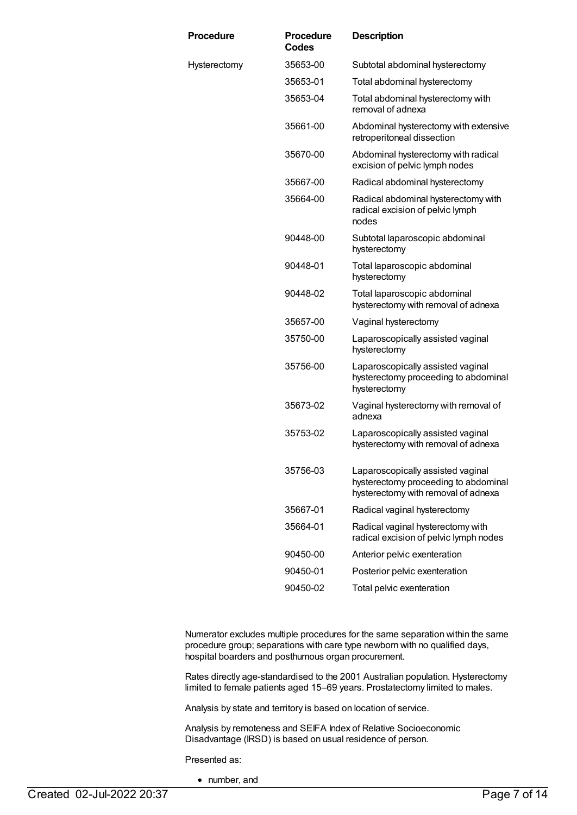| <b>Procedure</b> | <b>Procedure</b><br><b>Codes</b> | <b>Description</b>                                                                                               |
|------------------|----------------------------------|------------------------------------------------------------------------------------------------------------------|
| Hysterectomy     | 35653-00                         | Subtotal abdominal hysterectomy                                                                                  |
|                  | 35653-01                         | Total abdominal hysterectomy                                                                                     |
|                  | 35653-04                         | Total abdominal hysterectomy with<br>removal of adnexa                                                           |
|                  | 35661-00                         | Abdominal hysterectomy with extensive<br>retroperitoneal dissection                                              |
|                  | 35670-00                         | Abdominal hysterectomy with radical<br>excision of pelvic lymph nodes                                            |
|                  | 35667-00                         | Radical abdominal hysterectomy                                                                                   |
|                  | 35664-00                         | Radical abdominal hysterectomy with<br>radical excision of pelvic lymph<br>nodes                                 |
|                  | 90448-00                         | Subtotal laparoscopic abdominal<br>hysterectomy                                                                  |
|                  | 90448-01                         | Total laparoscopic abdominal<br>hysterectomy                                                                     |
|                  | 90448-02                         | Total laparoscopic abdominal<br>hysterectomy with removal of adnexa                                              |
|                  | 35657-00                         | Vaginal hysterectomy                                                                                             |
|                  | 35750-00                         | Laparoscopically assisted vaginal<br>hysterectomy                                                                |
|                  | 35756-00                         | Laparoscopically assisted vaginal<br>hysterectomy proceeding to abdominal<br>hysterectomy                        |
|                  | 35673-02                         | Vaginal hysterectomy with removal of<br>adnexa                                                                   |
|                  | 35753-02                         | Laparoscopically assisted vaginal<br>hysterectomy with removal of adnexa                                         |
|                  | 35756-03                         | Laparoscopically assisted vaginal<br>hysterectomy proceeding to abdominal<br>hysterectomy with removal of adnexa |
|                  | 35667-01                         | Radical vaginal hysterectomy                                                                                     |
|                  | 35664-01                         | Radical vaginal hysterectomy with<br>radical excision of pelvic lymph nodes                                      |
|                  | 90450-00                         | Anterior pelvic exenteration                                                                                     |
|                  | 90450-01                         | Posterior pelvic exenteration                                                                                    |
|                  | 90450-02                         | Total pelvic exenteration                                                                                        |

Numerator excludes multiple procedures for the same separation within the same procedure group; separations with care type newborn with no qualified days, hospital boarders and posthumous organ procurement.

Rates directly age-standardised to the 2001 Australian population. Hysterectomy limited to female patients aged 15–69 years. Prostatectomy limited to males.

Analysis by state and territory is based on location of service.

Analysis by remoteness and SEIFA Index of Relative Socioeconomic Disadvantage (IRSD) is based on usual residence of person.

Presented as:

• number, and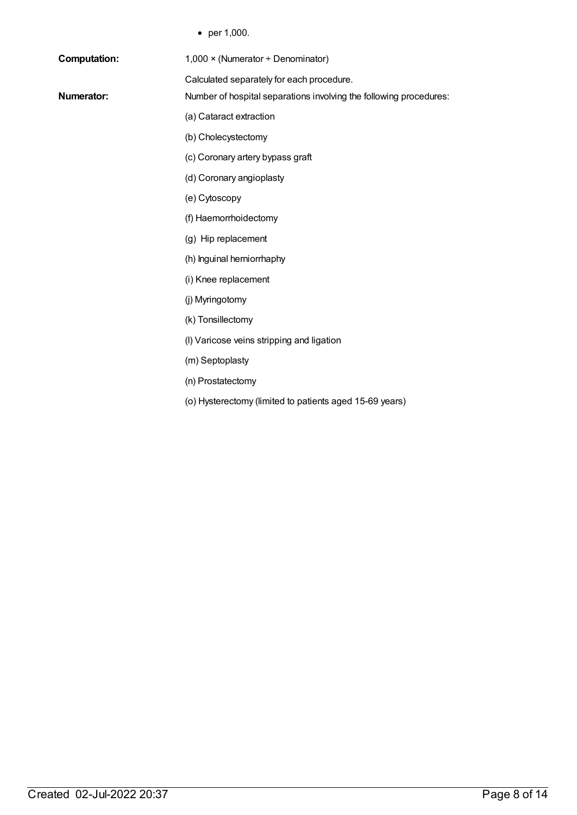• per 1,000.

| <b>Computation:</b> | $1,000 \times (N$ umerator ÷ Denominator)                          |
|---------------------|--------------------------------------------------------------------|
|                     | Calculated separately for each procedure.                          |
| <b>Numerator:</b>   | Number of hospital separations involving the following procedures: |
|                     | (a) Cataract extraction                                            |
|                     | (b) Cholecystectomy                                                |
|                     | (c) Coronary artery bypass graft                                   |
|                     | (d) Coronary angioplasty                                           |
|                     | (e) Cytoscopy                                                      |
|                     | (f) Haemorrhoidectomy                                              |
|                     | (g) Hip replacement                                                |
|                     | (h) Inguinal herniorrhaphy                                         |
|                     | (i) Knee replacement                                               |
|                     | (j) Myringotomy                                                    |
|                     | (k) Tonsillectomy                                                  |
|                     | (I) Varicose veins stripping and ligation                          |
|                     | (m) Septoplasty                                                    |
|                     | (n) Prostatectomy                                                  |
|                     | (o) Hysterectomy (limited to patients aged 15-69 years)            |
|                     |                                                                    |
|                     |                                                                    |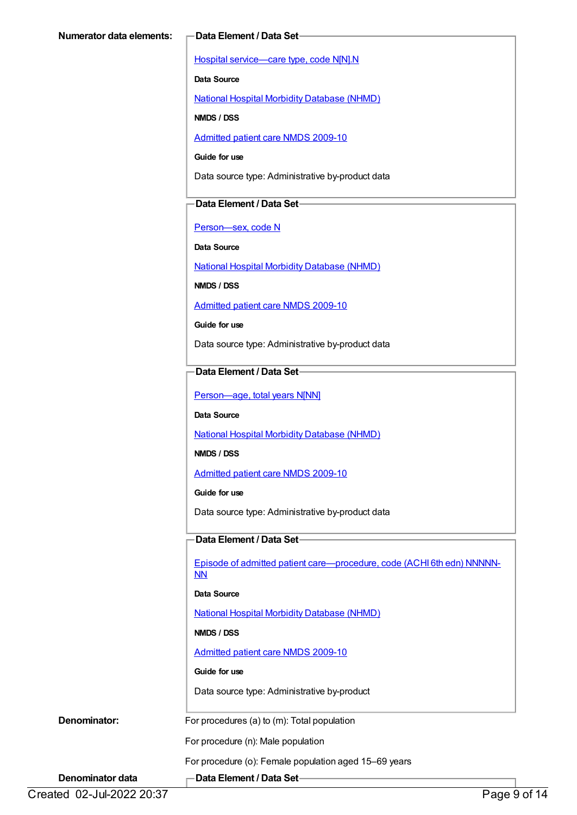Hospital [service—care](https://meteor.aihw.gov.au/content/270174) type, code N[N].N

**Data Source**

National Hospital Morbidity [Database](https://meteor.aihw.gov.au/content/394352) (NHMD)

**NMDS / DSS**

[Admitted](https://meteor.aihw.gov.au/content/374205) patient care NMDS 2009-10

**Guide for use**

Data source type: Administrative by-product data

#### **Data Element / Data Set**

[Person—sex,](https://meteor.aihw.gov.au/content/287316) code N

**Data Source**

National Hospital Morbidity [Database](https://meteor.aihw.gov.au/content/394352) (NHMD)

**NMDS / DSS**

[Admitted](https://meteor.aihw.gov.au/content/374205) patient care NMDS 2009-10

**Guide for use**

Data source type: Administrative by-product data

#### **Data Element / Data Set**

Person-age, total years N[NN]

**Data Source**

National Hospital Morbidity [Database](https://meteor.aihw.gov.au/content/394352) (NHMD)

**NMDS / DSS**

[Admitted](https://meteor.aihw.gov.au/content/374205) patient care NMDS 2009-10

**Guide for use**

Data source type: Administrative by-product data

### **Data Element / Data Set**

Episode of admitted patient [care—procedure,](https://meteor.aihw.gov.au/content/361687) code (ACHI 6th edn) NNNNN-NN

**Data Source**

National Hospital Morbidity [Database](https://meteor.aihw.gov.au/content/394352) (NHMD)

**NMDS / DSS**

[Admitted](https://meteor.aihw.gov.au/content/374205) patient care NMDS 2009-10

#### **Guide for use**

Data source type: Administrative by-product

**Denominator:** For procedures (a) to (m): Total population

For procedure (n): Male population

For procedure (o): Female population aged 15–69 years

**Denominator data Data Element / Data Set**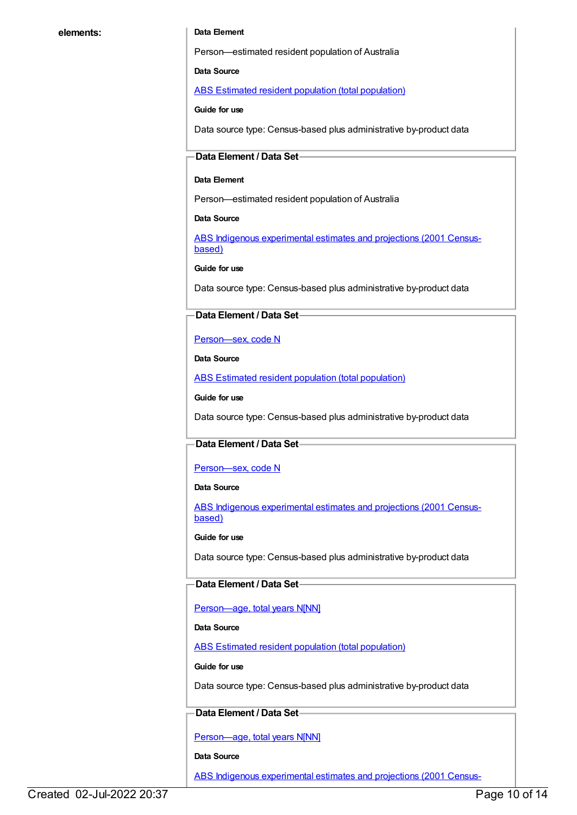#### **elements: Data Element**

Person—estimated resident population of Australia

**Data Source**

ABS Estimated resident population (total [population\)](https://meteor.aihw.gov.au/content/393625)

**Guide for use**

Data source type: Census-based plus administrative by-product data

#### **Data Element / Data Set**

#### **Data Element**

Person—estimated resident population of Australia

**Data Source**

ABS Indigenous [experimental](https://meteor.aihw.gov.au/content/394092) estimates and projections (2001 Censusbased)

**Guide for use**

Data source type: Census-based plus administrative by-product data

#### **Data Element / Data Set**

[Person—sex,](https://meteor.aihw.gov.au/content/287316) code N

**Data Source**

ABS Estimated resident population (total [population\)](https://meteor.aihw.gov.au/content/393625)

**Guide for use**

Data source type: Census-based plus administrative by-product data

#### **Data Element / Data Set**

#### [Person—sex,](https://meteor.aihw.gov.au/content/287316) code N

**Data Source**

ABS Indigenous [experimental](https://meteor.aihw.gov.au/content/394092) estimates and projections (2001 Censusbased)

**Guide for use**

Data source type: Census-based plus administrative by-product data

#### **Data Element / Data Set**

[Person—age,](https://meteor.aihw.gov.au/content/303794) total years N[NN]

#### **Data Source**

ABS Estimated resident population (total [population\)](https://meteor.aihw.gov.au/content/393625)

**Guide for use**

Data source type: Census-based plus administrative by-product data

#### **Data Element / Data Set**

[Person—age,](https://meteor.aihw.gov.au/content/303794) total years N[NN]

#### **Data Source**

ABS Indigenous [experimental](https://meteor.aihw.gov.au/content/394092) estimates and projections (2001 Census-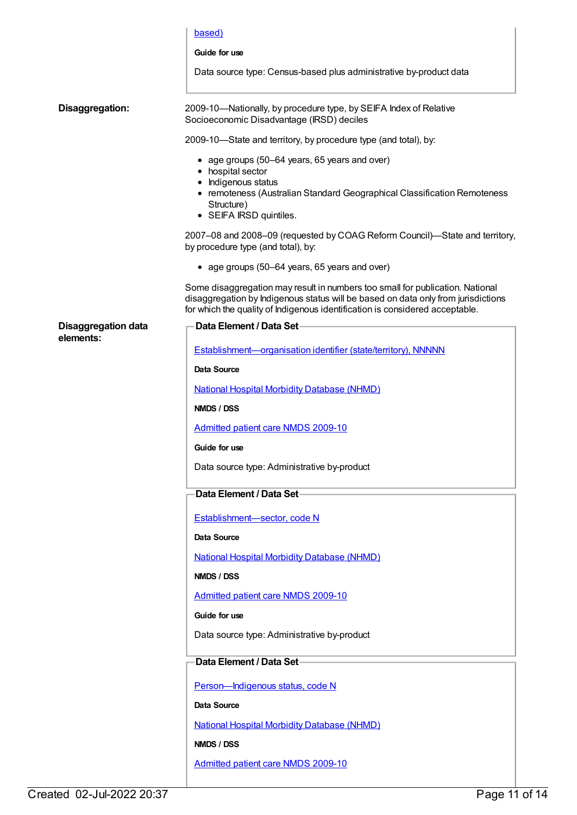|                                         | based)                                                                                                                                                                                                                                             |
|-----------------------------------------|----------------------------------------------------------------------------------------------------------------------------------------------------------------------------------------------------------------------------------------------------|
|                                         | Guide for use                                                                                                                                                                                                                                      |
|                                         | Data source type: Census-based plus administrative by-product data                                                                                                                                                                                 |
| Disaggregation:                         | 2009-10-Nationally, by procedure type, by SEIFA Index of Relative<br>Socioeconomic Disadvantage (IRSD) deciles                                                                                                                                     |
|                                         | 2009-10-State and territory, by procedure type (and total), by:                                                                                                                                                                                    |
|                                         | • age groups (50–64 years, 65 years and over)<br>• hospital sector<br>• Indigenous status<br>• remoteness (Australian Standard Geographical Classification Remoteness<br>Structure)<br>• SEIFA IRSD quintiles.                                     |
|                                         | 2007-08 and 2008-09 (requested by COAG Reform Council)-State and territory,<br>by procedure type (and total), by:                                                                                                                                  |
|                                         | • age groups (50–64 years, 65 years and over)                                                                                                                                                                                                      |
|                                         | Some disaggregation may result in numbers too small for publication. National<br>disaggregation by Indigenous status will be based on data only from jurisdictions<br>for which the quality of Indigenous identification is considered acceptable. |
| <b>Disaggregation data</b><br>elements: | <b>Data Element / Data Set-</b>                                                                                                                                                                                                                    |
|                                         | Establishment-organisation identifier (state/territory), NNNNN                                                                                                                                                                                     |
|                                         | Data Source                                                                                                                                                                                                                                        |
|                                         | <b>National Hospital Morbidity Database (NHMD)</b>                                                                                                                                                                                                 |
|                                         | NMDS / DSS                                                                                                                                                                                                                                         |
|                                         | <b>Admitted patient care NMDS 2009-10</b>                                                                                                                                                                                                          |
|                                         | Guide for use                                                                                                                                                                                                                                      |
|                                         | Data source type: Administrative by-product                                                                                                                                                                                                        |
|                                         | Data Element / Data Set-                                                                                                                                                                                                                           |
|                                         | Establishment-sector, code N                                                                                                                                                                                                                       |
|                                         | Data Source                                                                                                                                                                                                                                        |
|                                         | <b>National Hospital Morbidity Database (NHMD)</b>                                                                                                                                                                                                 |
|                                         | NMDS / DSS                                                                                                                                                                                                                                         |
|                                         | Admitted patient care NMDS 2009-10                                                                                                                                                                                                                 |
|                                         | Guide for use                                                                                                                                                                                                                                      |
|                                         | Data source type: Administrative by-product                                                                                                                                                                                                        |
|                                         |                                                                                                                                                                                                                                                    |
|                                         | Data Element / Data Set-                                                                                                                                                                                                                           |
|                                         | Person-Indigenous status, code N                                                                                                                                                                                                                   |
|                                         | Data Source                                                                                                                                                                                                                                        |
|                                         | <b>National Hospital Morbidity Database (NHMD)</b>                                                                                                                                                                                                 |
|                                         | NMDS / DSS                                                                                                                                                                                                                                         |
|                                         | Admitted patient care NMDS 2009-10                                                                                                                                                                                                                 |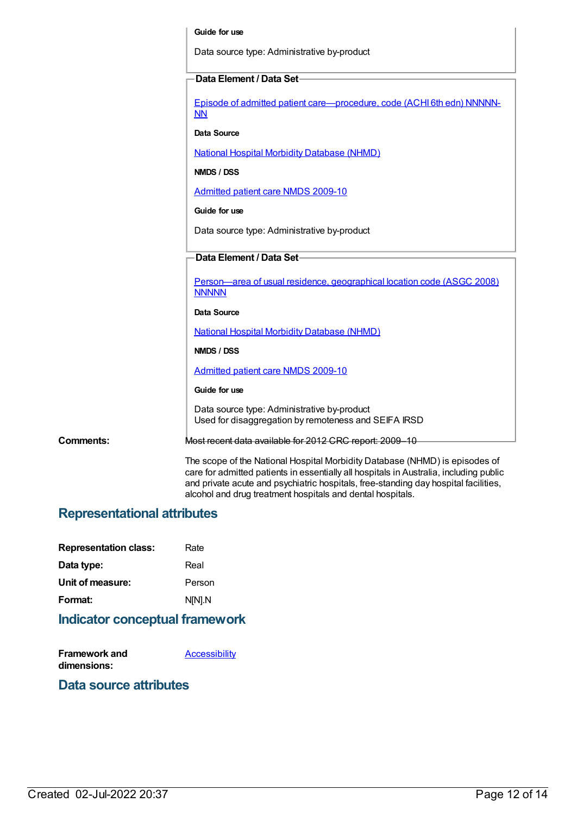|                  | Guide for use                                                                                                                                                                                                                                                |
|------------------|--------------------------------------------------------------------------------------------------------------------------------------------------------------------------------------------------------------------------------------------------------------|
|                  | Data source type: Administrative by-product                                                                                                                                                                                                                  |
|                  | Data Element / Data Set                                                                                                                                                                                                                                      |
|                  |                                                                                                                                                                                                                                                              |
|                  | Episode of admitted patient care-procedure, code (ACHI 6th edn) NNNNN-<br>NN                                                                                                                                                                                 |
|                  | Data Source                                                                                                                                                                                                                                                  |
|                  | <b>National Hospital Morbidity Database (NHMD)</b>                                                                                                                                                                                                           |
|                  | NMDS / DSS                                                                                                                                                                                                                                                   |
|                  | <b>Admitted patient care NMDS 2009-10</b>                                                                                                                                                                                                                    |
|                  | Guide for use                                                                                                                                                                                                                                                |
|                  | Data source type: Administrative by-product                                                                                                                                                                                                                  |
|                  | Data Element / Data Set                                                                                                                                                                                                                                      |
|                  |                                                                                                                                                                                                                                                              |
|                  | Person—area of usual residence, geographical location code (ASGC 2008)<br><b>NNNNN</b>                                                                                                                                                                       |
|                  | <b>Data Source</b>                                                                                                                                                                                                                                           |
|                  | <b>National Hospital Morbidity Database (NHMD)</b>                                                                                                                                                                                                           |
|                  | NMDS / DSS                                                                                                                                                                                                                                                   |
|                  | Admitted patient care NMDS 2009-10                                                                                                                                                                                                                           |
|                  | Guide for use                                                                                                                                                                                                                                                |
|                  | Data source type: Administrative by-product<br>Used for disaggregation by remoteness and SEIFA IRSD                                                                                                                                                          |
| <b>Comments:</b> | Most recent data available for 2012 CRC report: 2009-10                                                                                                                                                                                                      |
|                  | The scope of the National Hospital Morbidity Database (NHMD) is episodes of<br>care for admitted patients in essentially all hospitals in Australia, including public<br>and private acute and psychiatric hospitals, free-standing day hospital facilities, |

alcohol and drug treatment hospitals and dental hospitals.

### **Representational attributes**

| <b>Representation class:</b> | Rate   |
|------------------------------|--------|
| Data type:                   | Real   |
| Unit of measure:             | Person |
| Format:                      | N[N].N |

## **Indicator conceptual framework**

| Framework and | Accessibility |
|---------------|---------------|
| dimensions:   |               |

### **Data source attributes**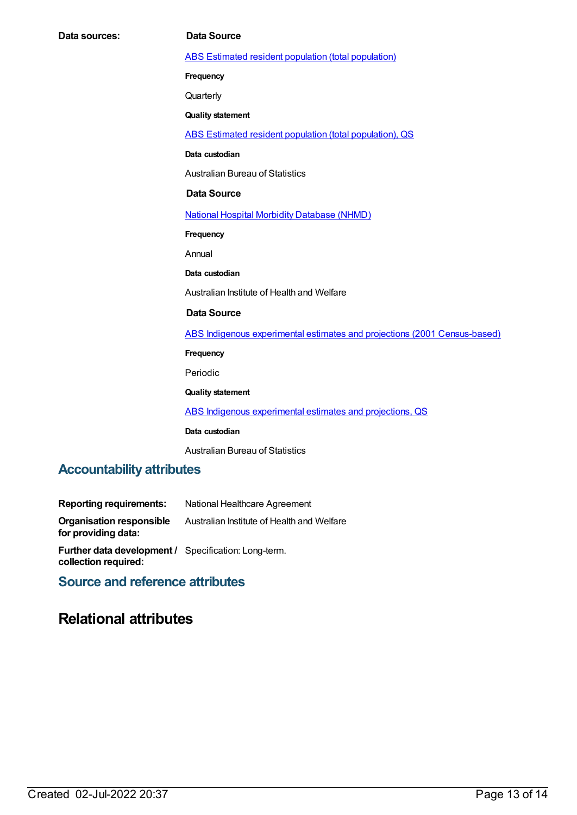ABS Estimated resident population (total [population\)](https://meteor.aihw.gov.au/content/393625)

**Frequency**

**Quarterly** 

**Quality statement**

ABS Estimated resident population (total [population\),](https://meteor.aihw.gov.au/content/449216) QS

**Data custodian**

Australian Bureau of Statistics

#### **Data Source**

National Hospital Morbidity [Database](https://meteor.aihw.gov.au/content/394352) (NHMD)

**Frequency**

Annual

**Data custodian**

Australian Institute of Health and Welfare

#### **Data Source**

ABS Indigenous experimental estimates and projections (2001 [Census-based\)](https://meteor.aihw.gov.au/content/394092)

**Frequency**

Periodic

**Quality statement**

ABS Indigenous [experimental](https://meteor.aihw.gov.au/content/449223) estimates and projections, QS

**Data custodian**

Australian Bureau of Statistics

### **Accountability attributes**

| <b>Reporting requirements:</b>                                               | National Healthcare Agreement              |
|------------------------------------------------------------------------------|--------------------------------------------|
| <b>Organisation responsible</b><br>for providing data:                       | Australian Institute of Health and Welfare |
| Further data development / Specification: Long-term.<br>collection required: |                                            |

### **Source and reference attributes**

### **Relational attributes**